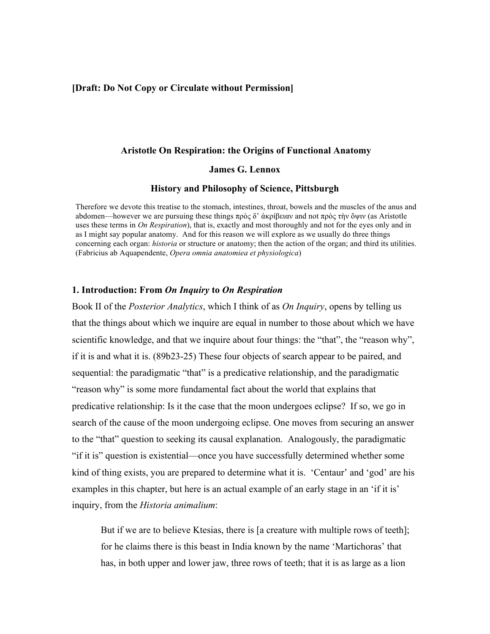## **[Draft: Do Not Copy or Circulate without Permission]**

#### **Aristotle On Respiration: the Origins of Functional Anatomy**

### **James G. Lennox**

#### **History and Philosophy of Science, Pittsburgh**

Therefore we devote this treatise to the stomach, intestines, throat, bowels and the muscles of the anus and abdomen—however we are pursuing these things πρὸς δ' ἀκρίβειαν and not πρὸς τὴν ὅψιν (as Aristotle uses these terms in *On Respiration*), that is, exactly and most thoroughly and not for the eyes only and in as I might say popular anatomy. And for this reason we will explore as we usually do three things concerning each organ: *historia* or structure or anatomy; then the action of the organ; and third its utilities. (Fabricius ab Aquapendente, *Opera omnia anatomiea et physiologica*)

## **1. Introduction: From** *On Inquiry* **to** *On Respiration*

Book II of the *Posterior Analytics*, which I think of as *On Inquiry*, opens by telling us that the things about which we inquire are equal in number to those about which we have scientific knowledge, and that we inquire about four things: the "that", the "reason why", if it is and what it is. (89b23-25) These four objects of search appear to be paired, and sequential: the paradigmatic "that" is a predicative relationship, and the paradigmatic "reason why" is some more fundamental fact about the world that explains that predicative relationship: Is it the case that the moon undergoes eclipse? If so, we go in search of the cause of the moon undergoing eclipse. One moves from securing an answer to the "that" question to seeking its causal explanation. Analogously, the paradigmatic "if it is" question is existential—once you have successfully determined whether some kind of thing exists, you are prepared to determine what it is. 'Centaur' and 'god' are his examples in this chapter, but here is an actual example of an early stage in an 'if it is' inquiry, from the *Historia animalium*:

But if we are to believe Ktesias, there is [a creature with multiple rows of teeth]; for he claims there is this beast in India known by the name 'Martichoras' that has, in both upper and lower jaw, three rows of teeth; that it is as large as a lion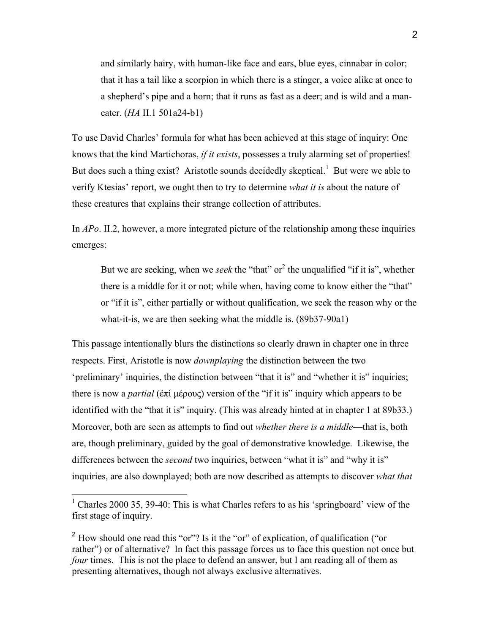and similarly hairy, with human-like face and ears, blue eyes, cinnabar in color; that it has a tail like a scorpion in which there is a stinger, a voice alike at once to a shepherd's pipe and a horn; that it runs as fast as a deer; and is wild and a maneater. (*HA* II.1 501a24-b1)

To use David Charles' formula for what has been achieved at this stage of inquiry: One knows that the kind Martichoras, *if it exists*, possesses a truly alarming set of properties! But does such a thing exist? Aristotle sounds decidedly skeptical.<sup>1</sup> But were we able to verify Ktesias' report, we ought then to try to determine *what it is* about the nature of these creatures that explains their strange collection of attributes.

In *APo*. II.2, however, a more integrated picture of the relationship among these inquiries emerges:

But we are seeking, when we *seek* the "that" or  $2$  the unqualified "if it is", whether there is a middle for it or not; while when, having come to know either the "that" or "if it is", either partially or without qualification, we seek the reason why or the what-it-is, we are then seeking what the middle is. (89b37-90a1)

This passage intentionally blurs the distinctions so clearly drawn in chapter one in three respects. First, Aristotle is now *downplaying* the distinction between the two 'preliminary' inquiries, the distinction between "that it is" and "whether it is" inquiries; there is now a *partial* (ἐπὶ µέρους) version of the "if it is" inquiry which appears to be identified with the "that it is" inquiry. (This was already hinted at in chapter 1 at 89b33.) Moreover, both are seen as attempts to find out *whether there is a middle*—that is, both are, though preliminary, guided by the goal of demonstrative knowledge. Likewise, the differences between the *second* two inquiries, between "what it is" and "why it is" inquiries, are also downplayed; both are now described as attempts to discover *what that* 

<sup>&</sup>lt;sup>1</sup> Charles 2000 35, 39-40: This is what Charles refers to as his 'springboard' view of the first stage of inquiry.

 $2$  How should one read this "or"? Is it the "or" of explication, of qualification ("or rather") or of alternative? In fact this passage forces us to face this question not once but *four* times. This is not the place to defend an answer, but I am reading all of them as presenting alternatives, though not always exclusive alternatives.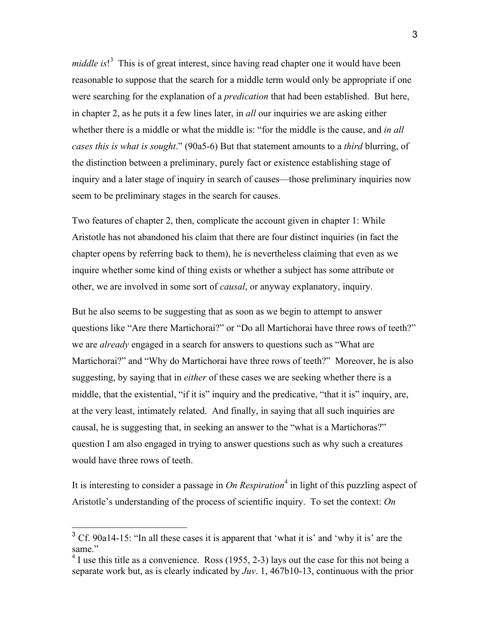*middle is*<sup>3</sup> This is of great interest, since having read chapter one it would have been reasonable to suppose that the search for a middle term would only be appropriate if one were searching for the explanation of a *predication* that had been established. But here, in chapter 2, as he puts it a few lines later, in *all* our inquiries we are asking either whether there is a middle or what the middle is: "for the middle is the cause, and *in all cases this is what is sought*." (90a5-6) But that statement amounts to a *third* blurring, of the distinction between a preliminary, purely fact or existence establishing stage of inquiry and a later stage of inquiry in search of causes—those preliminary inquiries now seem to be preliminary stages in the search for causes.

Two features of chapter 2, then, complicate the account given in chapter 1: While Aristotle has not abandoned his claim that there are four distinct inquiries (in fact the chapter opens by referring back to them), he is nevertheless claiming that even as we inquire whether some kind of thing exists or whether a subject has some attribute or other, we are involved in some sort of *causal*, or anyway explanatory, inquiry.

But he also seems to be suggesting that as soon as we begin to attempt to answer questions like "Are there Martichorai?" or "Do all Martichorai have three rows of teeth?" we are *already* engaged in a search for answers to questions such as "What are Martichorai?" and "Why do Martichorai have three rows of teeth?" Moreover, he is also suggesting, by saying that in *either* of these cases we are seeking whether there is a middle, that the existential, "if it is" inquiry and the predicative, "that it is" inquiry, are, at the very least, intimately related. And finally, in saying that all such inquiries are causal, he is suggesting that, in seeking an answer to the "what is a Martichoras?" question I am also engaged in trying to answer questions such as why such a creatures would have three rows of teeth.

It is interesting to consider a passage in *On Respiration*<sup>4</sup> in light of this puzzling aspect of Aristotle's understanding of the process of scientific inquiry. To set the context: *On* 

 <sup>3</sup> Cf. 90a14-15: "In all these cases it is apparent that 'what it is' and 'why it is' are the same."

 $4$  I use this title as a convenience. Ross (1955, 2-3) lays out the case for this not being a separate work but, as is clearly indicated by *Juv*. 1, 467b10-13, continuous with the prior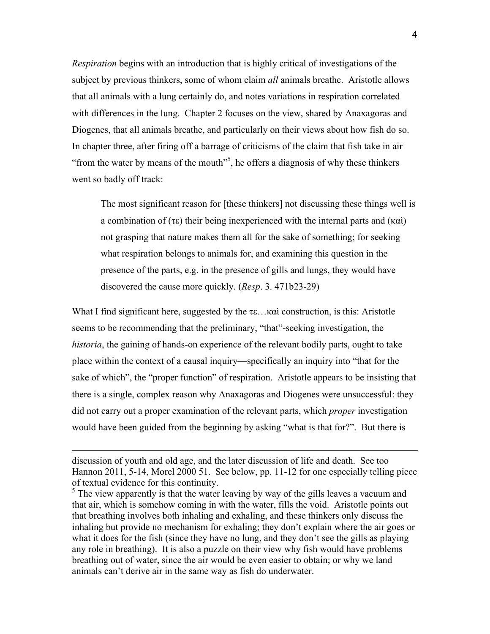*Respiration* begins with an introduction that is highly critical of investigations of the subject by previous thinkers, some of whom claim *all* animals breathe. Aristotle allows that all animals with a lung certainly do, and notes variations in respiration correlated with differences in the lung. Chapter 2 focuses on the view, shared by Anaxagoras and Diogenes, that all animals breathe, and particularly on their views about how fish do so. In chapter three, after firing off a barrage of criticisms of the claim that fish take in air "from the water by means of the mouth"<sup>5</sup>, he offers a diagnosis of why these thinkers went so badly off track:

The most significant reason for [these thinkers] not discussing these things well is a combination of (τε) their being inexperienced with the internal parts and (καὶ) not grasping that nature makes them all for the sake of something; for seeking what respiration belongs to animals for, and examining this question in the presence of the parts, e.g. in the presence of gills and lungs, they would have discovered the cause more quickly. (*Resp*. 3. 471b23-29)

What I find significant here, suggested by the τε…καὶ construction, is this: Aristotle seems to be recommending that the preliminary, "that"-seeking investigation, the *historia*, the gaining of hands-on experience of the relevant bodily parts, ought to take place within the context of a causal inquiry—specifically an inquiry into "that for the sake of which", the "proper function" of respiration. Aristotle appears to be insisting that there is a single, complex reason why Anaxagoras and Diogenes were unsuccessful: they did not carry out a proper examination of the relevant parts, which *proper* investigation would have been guided from the beginning by asking "what is that for?". But there is

 $\overline{a}$ 

discussion of youth and old age, and the later discussion of life and death. See too Hannon 2011, 5-14, Morel 2000 51. See below, pp. 11-12 for one especially telling piece of textual evidence for this continuity.

 $<sup>5</sup>$  The view apparently is that the water leaving by way of the gills leaves a vacuum and</sup> that air, which is somehow coming in with the water, fills the void. Aristotle points out that breathing involves both inhaling and exhaling, and these thinkers only discuss the inhaling but provide no mechanism for exhaling; they don't explain where the air goes or what it does for the fish (since they have no lung, and they don't see the gills as playing any role in breathing). It is also a puzzle on their view why fish would have problems breathing out of water, since the air would be even easier to obtain; or why we land animals can't derive air in the same way as fish do underwater.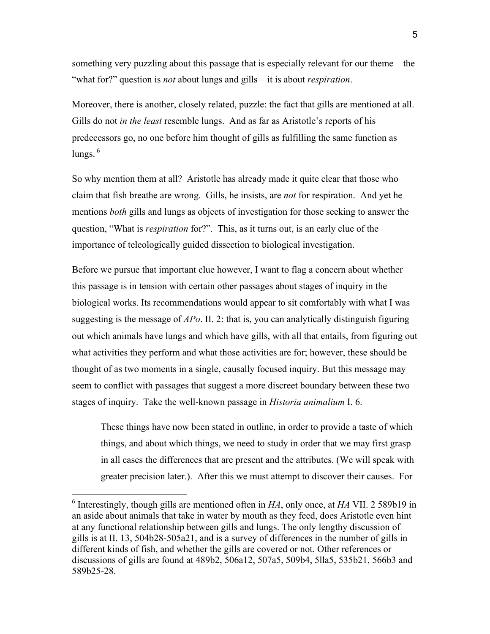something very puzzling about this passage that is especially relevant for our theme—the "what for?" question is *not* about lungs and gills—it is about *respiration*.

Moreover, there is another, closely related, puzzle: the fact that gills are mentioned at all. Gills do not *in the least* resemble lungs. And as far as Aristotle's reports of his predecessors go, no one before him thought of gills as fulfilling the same function as lungs.<sup>6</sup>

So why mention them at all? Aristotle has already made it quite clear that those who claim that fish breathe are wrong. Gills, he insists, are *not* for respiration. And yet he mentions *both* gills and lungs as objects of investigation for those seeking to answer the question, "What is *respiration* for?". This, as it turns out, is an early clue of the importance of teleologically guided dissection to biological investigation.

Before we pursue that important clue however, I want to flag a concern about whether this passage is in tension with certain other passages about stages of inquiry in the biological works. Its recommendations would appear to sit comfortably with what I was suggesting is the message of *APo*. II. 2: that is, you can analytically distinguish figuring out which animals have lungs and which have gills, with all that entails, from figuring out what activities they perform and what those activities are for; however, these should be thought of as two moments in a single, causally focused inquiry. But this message may seem to conflict with passages that suggest a more discreet boundary between these two stages of inquiry. Take the well-known passage in *Historia animalium* I. 6.

These things have now been stated in outline, in order to provide a taste of which things, and about which things, we need to study in order that we may first grasp in all cases the differences that are present and the attributes. (We will speak with greater precision later.). After this we must attempt to discover their causes. For

<sup>6</sup> Interestingly, though gills are mentioned often in *HA*, only once, at *HA* VII. 2 589b19 in an aside about animals that take in water by mouth as they feed, does Aristotle even hint at any functional relationship between gills and lungs. The only lengthy discussion of gills is at II. 13, 504b28-505a21, and is a survey of differences in the number of gills in different kinds of fish, and whether the gills are covered or not. Other references or discussions of gills are found at 489b2, 506a12, 507a5, 509b4, 5lla5, 535b21, 566b3 and 589b25-28.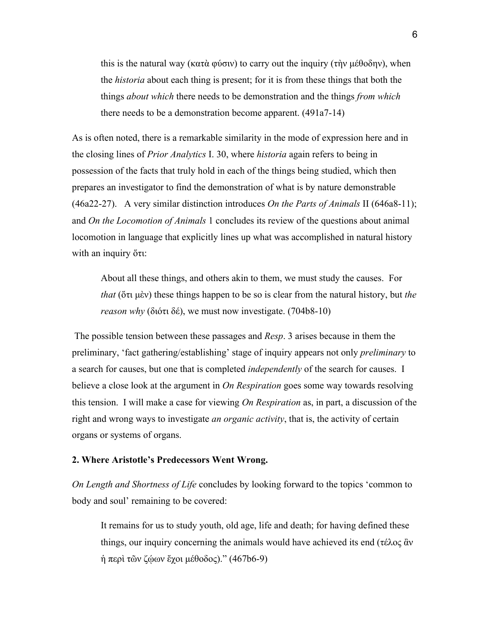this is the natural way (κατὰ φύσιν) to carry out the inquiry (τὴν μέθοδην), when the *historia* about each thing is present; for it is from these things that both the things *about which* there needs to be demonstration and the things *from which* there needs to be a demonstration become apparent. (491a7-14)

As is often noted, there is a remarkable similarity in the mode of expression here and in the closing lines of *Prior Analytics* I. 30, where *historia* again refers to being in possession of the facts that truly hold in each of the things being studied, which then prepares an investigator to find the demonstration of what is by nature demonstrable (46a22-27). A very similar distinction introduces *On the Parts of Animals* II (646a8-11); and *On the Locomotion of Animals* 1 concludes its review of the questions about animal locomotion in language that explicitly lines up what was accomplished in natural history with an inquiry <del>ό</del>τι:

About all these things, and others akin to them, we must study the causes. For *that* (ὅτι µὲν) these things happen to be so is clear from the natural history, but *the reason why* (διότι δέ), we must now investigate. (704b8-10)

The possible tension between these passages and *Resp*. 3 arises because in them the preliminary, 'fact gathering/establishing' stage of inquiry appears not only *preliminary* to a search for causes, but one that is completed *independently* of the search for causes. I believe a close look at the argument in *On Respiration* goes some way towards resolving this tension. I will make a case for viewing *On Respiration* as, in part, a discussion of the right and wrong ways to investigate *an organic activity*, that is, the activity of certain organs or systems of organs.

# **2. Where Aristotle's Predecessors Went Wrong.**

*On Length and Shortness of Life* concludes by looking forward to the topics 'common to body and soul' remaining to be covered:

It remains for us to study youth, old age, life and death; for having defined these things, our inquiry concerning the animals would have achieved its end (τέλος ἂν ἡ περὶ τῶν ζῴων ἔχοι µέθοδος)." (467b6-9)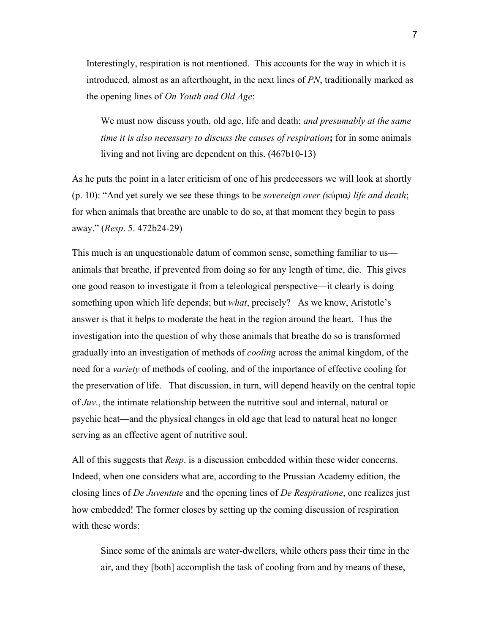Interestingly, respiration is not mentioned. This accounts for the way in which it is introduced, almost as an afterthought, in the next lines of *PN*, traditionally marked as the opening lines of *On Youth and Old Age*:

We must now discuss youth, old age, life and death; *and presumably at the same time it is also necessary to discuss the causes of respiration***;** for in some animals living and not living are dependent on this. (467b10-13)

As he puts the point in a later criticism of one of his predecessors we will look at shortly (p. 10): "And yet surely we see these things to be *sovereign over (*κύρια*) life and death*; for when animals that breathe are unable to do so, at that moment they begin to pass away." (*Resp*. 5. 472b24-29)

This much is an unquestionable datum of common sense, something familiar to us animals that breathe, if prevented from doing so for any length of time, die. This gives one good reason to investigate it from a teleological perspective—it clearly is doing something upon which life depends; but *what*, precisely? As we know, Aristotle's answer is that it helps to moderate the heat in the region around the heart. Thus the investigation into the question of why those animals that breathe do so is transformed gradually into an investigation of methods of *cooling* across the animal kingdom, of the need for a *variety* of methods of cooling, and of the importance of effective cooling for the preservation of life. That discussion, in turn, will depend heavily on the central topic of *Juv*., the intimate relationship between the nutritive soul and internal, natural or psychic heat—and the physical changes in old age that lead to natural heat no longer serving as an effective agent of nutritive soul.

All of this suggests that *Resp*. is a discussion embedded within these wider concerns. Indeed, when one considers what are, according to the Prussian Academy edition, the closing lines of *De Juventute* and the opening lines of *De Respiratione*, one realizes just how embedded! The former closes by setting up the coming discussion of respiration with these words:

Since some of the animals are water-dwellers, while others pass their time in the air, and they [both] accomplish the task of cooling from and by means of these,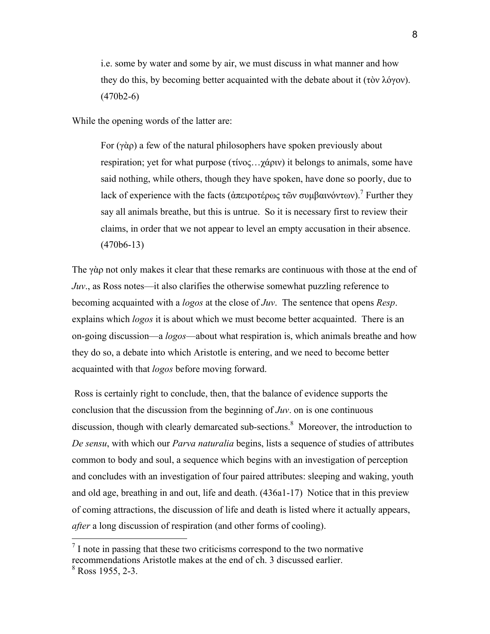i.e. some by water and some by air, we must discuss in what manner and how they do this, by becoming better acquainted with the debate about it (τὸν λόγον).  $(470b2-6)$ 

While the opening words of the latter are:

For (γὰρ) a few of the natural philosophers have spoken previously about respiration; yet for what purpose (τίνος…χάριν) it belongs to animals, some have said nothing, while others, though they have spoken, have done so poorly, due to lack of experience with the facts (άπειροτέρως τῶν συμβαινόντων).<sup>7</sup> Further they say all animals breathe, but this is untrue. So it is necessary first to review their claims, in order that we not appear to level an empty accusation in their absence. (470b6-13)

The γὰρ not only makes it clear that these remarks are continuous with those at the end of *Juv*., as Ross notes—it also clarifies the otherwise somewhat puzzling reference to becoming acquainted with a *logos* at the close of *Juv*. The sentence that opens *Resp*. explains which *logos* it is about which we must become better acquainted. There is an on-going discussion—a *logos*—about what respiration is, which animals breathe and how they do so, a debate into which Aristotle is entering, and we need to become better acquainted with that *logos* before moving forward.

Ross is certainly right to conclude, then, that the balance of evidence supports the conclusion that the discussion from the beginning of *Juv*. on is one continuous discussion, though with clearly demarcated sub-sections.<sup>8</sup> Moreover, the introduction to *De sensu*, with which our *Parva naturalia* begins, lists a sequence of studies of attributes common to body and soul, a sequence which begins with an investigation of perception and concludes with an investigation of four paired attributes: sleeping and waking, youth and old age, breathing in and out, life and death. (436a1-17) Notice that in this preview of coming attractions, the discussion of life and death is listed where it actually appears, *after* a long discussion of respiration (and other forms of cooling).

 $<sup>7</sup>$  I note in passing that these two criticisms correspond to the two normative</sup> recommendations Aristotle makes at the end of ch. 3 discussed earlier.

 $8$  Ross 1955, 2-3.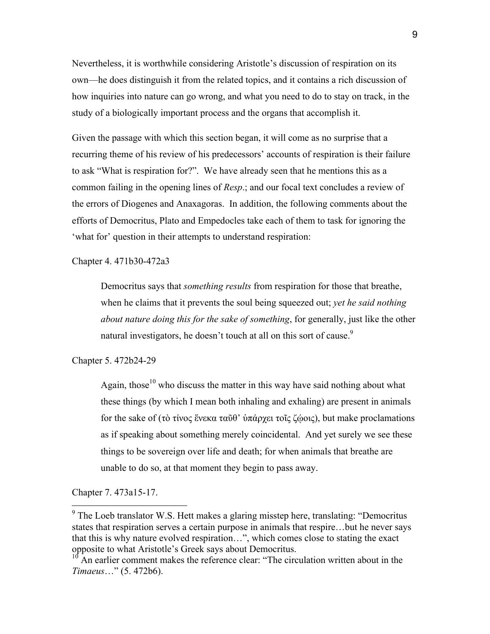Nevertheless, it is worthwhile considering Aristotle's discussion of respiration on its own—he does distinguish it from the related topics, and it contains a rich discussion of how inquiries into nature can go wrong, and what you need to do to stay on track, in the study of a biologically important process and the organs that accomplish it.

Given the passage with which this section began, it will come as no surprise that a recurring theme of his review of his predecessors' accounts of respiration is their failure to ask "What is respiration for?". We have already seen that he mentions this as a common failing in the opening lines of *Resp*.; and our focal text concludes a review of the errors of Diogenes and Anaxagoras. In addition, the following comments about the efforts of Democritus, Plato and Empedocles take each of them to task for ignoring the 'what for' question in their attempts to understand respiration:

Chapter 4. 471b30-472a3

Democritus says that *something results* from respiration for those that breathe, when he claims that it prevents the soul being squeezed out; *yet he said nothing about nature doing this for the sake of something*, for generally, just like the other natural investigators, he doesn't touch at all on this sort of cause.<sup>9</sup>

Chapter 5. 472b24-29

Again, those<sup>10</sup> who discuss the matter in this way have said nothing about what these things (by which I mean both inhaling and exhaling) are present in animals for the sake of (τὸ τίνος ἕνεκα ταῦθ' ὑπάρχει τοῖς ζώοις), but make proclamations as if speaking about something merely coincidental. And yet surely we see these things to be sovereign over life and death; for when animals that breathe are unable to do so, at that moment they begin to pass away.

Chapter 7. 473a15-17.

<sup>9</sup> The Loeb translator W.S. Hett makes a glaring misstep here, translating: "Democritus states that respiration serves a certain purpose in animals that respire…but he never says that this is why nature evolved respiration…", which comes close to stating the exact opposite to what Aristotle's Greek says about Democritus.

An earlier comment makes the reference clear: "The circulation written about in the *Timaeus*…" (5. 472b6).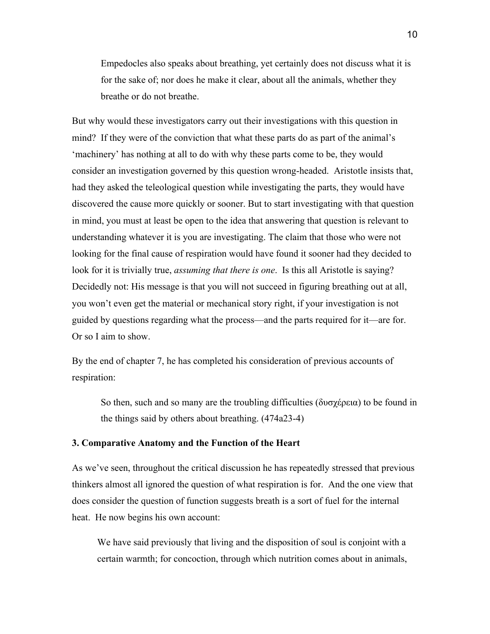Empedocles also speaks about breathing, yet certainly does not discuss what it is for the sake of; nor does he make it clear, about all the animals, whether they breathe or do not breathe.

But why would these investigators carry out their investigations with this question in mind? If they were of the conviction that what these parts do as part of the animal's 'machinery' has nothing at all to do with why these parts come to be, they would consider an investigation governed by this question wrong-headed. Aristotle insists that, had they asked the teleological question while investigating the parts, they would have discovered the cause more quickly or sooner. But to start investigating with that question in mind, you must at least be open to the idea that answering that question is relevant to understanding whatever it is you are investigating. The claim that those who were not looking for the final cause of respiration would have found it sooner had they decided to look for it is trivially true, *assuming that there is one*. Is this all Aristotle is saying? Decidedly not: His message is that you will not succeed in figuring breathing out at all, you won't even get the material or mechanical story right, if your investigation is not guided by questions regarding what the process—and the parts required for it—are for. Or so I aim to show.

By the end of chapter 7, he has completed his consideration of previous accounts of respiration:

So then, such and so many are the troubling difficulties (δυσχέρεια) to be found in the things said by others about breathing. (474a23-4)

# **3. Comparative Anatomy and the Function of the Heart**

As we've seen, throughout the critical discussion he has repeatedly stressed that previous thinkers almost all ignored the question of what respiration is for. And the one view that does consider the question of function suggests breath is a sort of fuel for the internal heat. He now begins his own account:

We have said previously that living and the disposition of soul is conjoint with a certain warmth; for concoction, through which nutrition comes about in animals,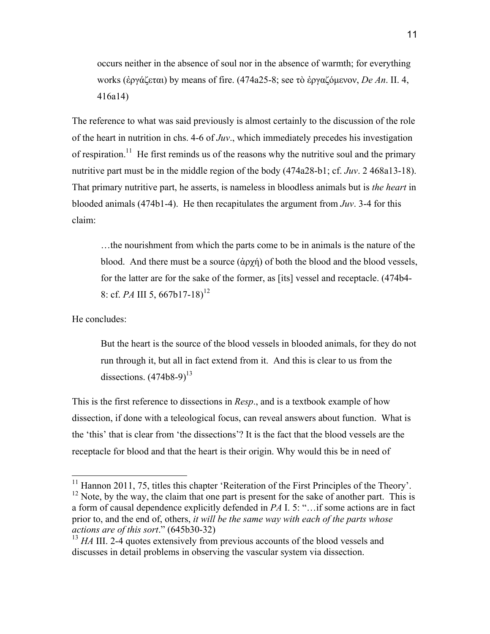occurs neither in the absence of soul nor in the absence of warmth; for everything works (ἐργάζεται) by means of fire. (474a25-8; see τὸ ἐργαζόµενον, *De An*. II. 4, 416a14)

The reference to what was said previously is almost certainly to the discussion of the role of the heart in nutrition in chs. 4-6 of *Juv*., which immediately precedes his investigation of respiration.<sup>11</sup> He first reminds us of the reasons why the nutritive soul and the primary nutritive part must be in the middle region of the body (474a28-b1; cf. *Juv*. 2 468a13-18). That primary nutritive part, he asserts, is nameless in bloodless animals but is *the heart* in blooded animals (474b1-4). He then recapitulates the argument from *Juv*. 3-4 for this claim:

…the nourishment from which the parts come to be in animals is the nature of the blood. And there must be a source  $(\dot{a} \rho \gamma \dot{\eta})$  of both the blood and the blood vessels, for the latter are for the sake of the former, as [its] vessel and receptacle. (474b4- 8: cf. *PA* III 5,  $667b17-18$ <sup>12</sup>

He concludes:

But the heart is the source of the blood vessels in blooded animals, for they do not run through it, but all in fact extend from it. And this is clear to us from the dissections.  $(474b8-9)^{13}$ 

This is the first reference to dissections in *Resp*., and is a textbook example of how dissection, if done with a teleological focus, can reveal answers about function. What is the 'this' that is clear from 'the dissections'? It is the fact that the blood vessels are the receptacle for blood and that the heart is their origin. Why would this be in need of

<sup>&</sup>lt;sup>11</sup> Hannon 2011, 75, titles this chapter 'Reiteration of the First Principles of the Theory'.

 $12$  Note, by the way, the claim that one part is present for the sake of another part. This is a form of causal dependence explicitly defended in *PA* I. 5: "…if some actions are in fact prior to, and the end of, others, *it will be the same way with each of the parts whose actions are of this sort*." (645b30-32)

<sup>&</sup>lt;sup>13</sup> *HA* III. 2-4 quotes extensively from previous accounts of the blood vessels and discusses in detail problems in observing the vascular system via dissection.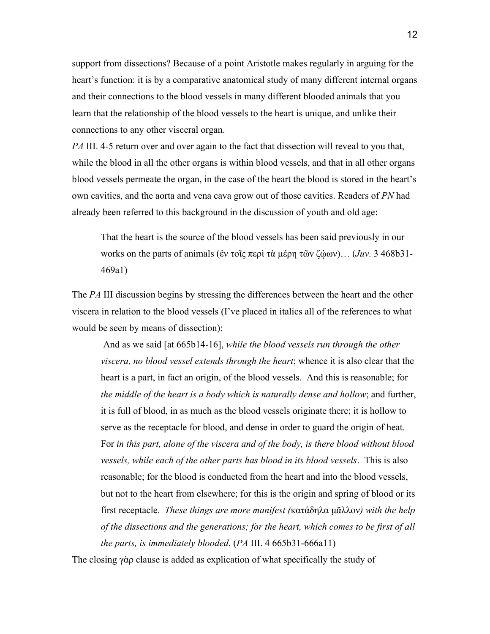support from dissections? Because of a point Aristotle makes regularly in arguing for the heart's function: it is by a comparative anatomical study of many different internal organs and their connections to the blood vessels in many different blooded animals that you learn that the relationship of the blood vessels to the heart is unique, and unlike their connections to any other visceral organ.

*PA* III. 4-5 return over and over again to the fact that dissection will reveal to you that, while the blood in all the other organs is within blood vessels, and that in all other organs blood vessels permeate the organ, in the case of the heart the blood is stored in the heart's own cavities, and the aorta and vena cava grow out of those cavities. Readers of *PN* had already been referred to this background in the discussion of youth and old age:

That the heart is the source of the blood vessels has been said previously in our works on the parts of animals (ἐν τοῖς περὶ τὰ µέρη τῶν ζῴων)… (*Juv*. 3 468b31- 469a1)

The *PA* III discussion begins by stressing the differences between the heart and the other viscera in relation to the blood vessels (I've placed in italics all of the references to what would be seen by means of dissection):

And as we said [at 665b14-16], *while the blood vessels run through the other viscera, no blood vessel extends through the heart*; whence it is also clear that the heart is a part, in fact an origin, of the blood vessels. And this is reasonable; for *the middle of the heart is a body which is naturally dense and hollow*; and further, it is full of blood, in as much as the blood vessels originate there; it is hollow to serve as the receptacle for blood, and dense in order to guard the origin of heat. For *in this part, alone of the viscera and of the body, is there blood without blood vessels, while each of the other parts has blood in its blood vessels*. This is also reasonable; for the blood is conducted from the heart and into the blood vessels, but not to the heart from elsewhere; for this is the origin and spring of blood or its first receptacle. *These things are more manifest (*κατάδηλα µᾶλλον*) with the help of the dissections and the generations; for the heart, which comes to be first of all the parts, is immediately blooded*. (*PA* III. 4 665b31-666a11)

The closing γὰρ clause is added as explication of what specifically the study of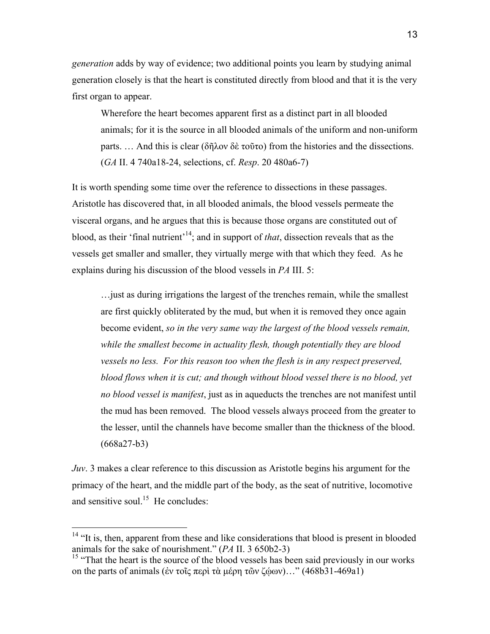*generation* adds by way of evidence; two additional points you learn by studying animal generation closely is that the heart is constituted directly from blood and that it is the very first organ to appear.

Wherefore the heart becomes apparent first as a distinct part in all blooded animals; for it is the source in all blooded animals of the uniform and non-uniform parts. … And this is clear (δῆλον δὲ τοῦτο) from the histories and the dissections. (*GA* II. 4 740a18-24, selections, cf. *Resp*. 20 480a6-7)

It is worth spending some time over the reference to dissections in these passages. Aristotle has discovered that, in all blooded animals, the blood vessels permeate the visceral organs, and he argues that this is because those organs are constituted out of blood, as their 'final nutrient'14; and in support of *that*, dissection reveals that as the vessels get smaller and smaller, they virtually merge with that which they feed. As he explains during his discussion of the blood vessels in *PA* III. 5:

…just as during irrigations the largest of the trenches remain, while the smallest are first quickly obliterated by the mud, but when it is removed they once again become evident, *so in the very same way the largest of the blood vessels remain, while the smallest become in actuality flesh, though potentially they are blood vessels no less. For this reason too when the flesh is in any respect preserved, blood flows when it is cut; and though without blood vessel there is no blood, yet no blood vessel is manifest*, just as in aqueducts the trenches are not manifest until the mud has been removed. The blood vessels always proceed from the greater to the lesser, until the channels have become smaller than the thickness of the blood. (668a27-b3)

*Juv.* 3 makes a clear reference to this discussion as Aristotle begins his argument for the primacy of the heart, and the middle part of the body, as the seat of nutritive, locomotive and sensitive soul.<sup>15</sup> He concludes:

<sup>&</sup>lt;sup>14</sup> "It is, then, apparent from these and like considerations that blood is present in blooded animals for the sake of nourishment." (*PA* II. 3 650b2-3)

 $15$  "That the heart is the source of the blood vessels has been said previously in our works on the parts of animals (ἐν τοῖς περὶ τὰ µέρη τῶν ζῴων)…" (468b31-469a1)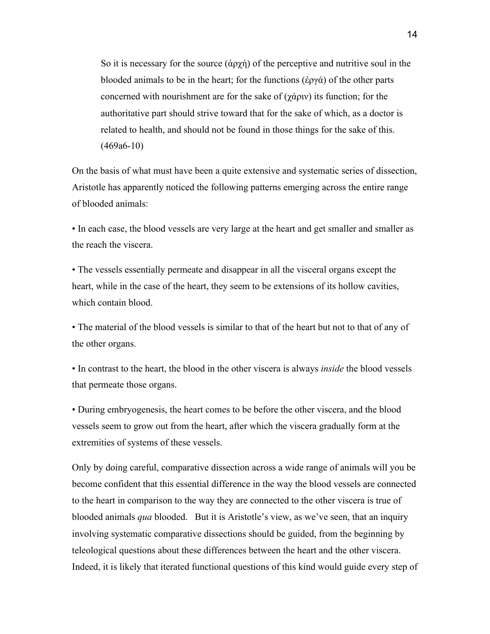So it is necessary for the source  $(\dot{\alpha} \rho \chi \dot{\eta})$  of the perceptive and nutritive soul in the blooded animals to be in the heart; for the functions ( $\epsilon \rho y \alpha$ ) of the other parts concerned with nourishment are for the sake of (χάριν) its function; for the authoritative part should strive toward that for the sake of which, as a doctor is related to health, and should not be found in those things for the sake of this. (469a6-10)

On the basis of what must have been a quite extensive and systematic series of dissection, Aristotle has apparently noticed the following patterns emerging across the entire range of blooded animals:

• In each case, the blood vessels are very large at the heart and get smaller and smaller as the reach the viscera.

• The vessels essentially permeate and disappear in all the visceral organs except the heart, while in the case of the heart, they seem to be extensions of its hollow cavities, which contain blood.

• The material of the blood vessels is similar to that of the heart but not to that of any of the other organs.

• In contrast to the heart, the blood in the other viscera is always *inside* the blood vessels that permeate those organs.

• During embryogenesis, the heart comes to be before the other viscera, and the blood vessels seem to grow out from the heart, after which the viscera gradually form at the extremities of systems of these vessels.

Only by doing careful, comparative dissection across a wide range of animals will you be become confident that this essential difference in the way the blood vessels are connected to the heart in comparison to the way they are connected to the other viscera is true of blooded animals *qua* blooded. But it is Aristotle's view, as we've seen, that an inquiry involving systematic comparative dissections should be guided, from the beginning by teleological questions about these differences between the heart and the other viscera. Indeed, it is likely that iterated functional questions of this kind would guide every step of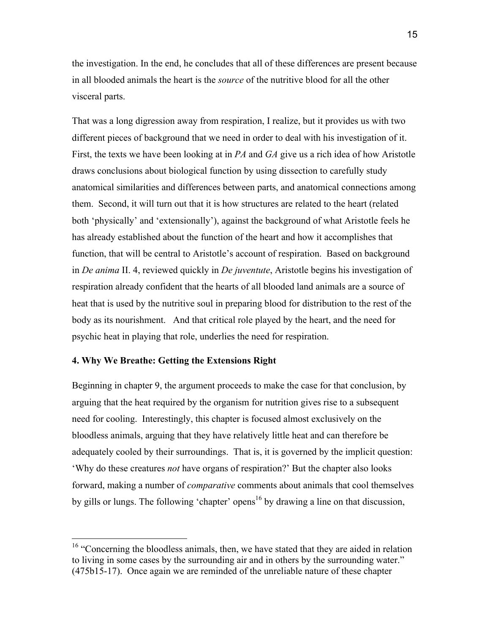the investigation. In the end, he concludes that all of these differences are present because in all blooded animals the heart is the *source* of the nutritive blood for all the other visceral parts.

That was a long digression away from respiration, I realize, but it provides us with two different pieces of background that we need in order to deal with his investigation of it. First, the texts we have been looking at in *PA* and *GA* give us a rich idea of how Aristotle draws conclusions about biological function by using dissection to carefully study anatomical similarities and differences between parts, and anatomical connections among them. Second, it will turn out that it is how structures are related to the heart (related both 'physically' and 'extensionally'), against the background of what Aristotle feels he has already established about the function of the heart and how it accomplishes that function, that will be central to Aristotle's account of respiration. Based on background in *De anima* II. 4, reviewed quickly in *De juventute*, Aristotle begins his investigation of respiration already confident that the hearts of all blooded land animals are a source of heat that is used by the nutritive soul in preparing blood for distribution to the rest of the body as its nourishment. And that critical role played by the heart, and the need for psychic heat in playing that role, underlies the need for respiration.

# **4. Why We Breathe: Getting the Extensions Right**

Beginning in chapter 9, the argument proceeds to make the case for that conclusion, by arguing that the heat required by the organism for nutrition gives rise to a subsequent need for cooling. Interestingly, this chapter is focused almost exclusively on the bloodless animals, arguing that they have relatively little heat and can therefore be adequately cooled by their surroundings. That is, it is governed by the implicit question: 'Why do these creatures *not* have organs of respiration?' But the chapter also looks forward, making a number of *comparative* comments about animals that cool themselves by gills or lungs. The following 'chapter' opens<sup>16</sup> by drawing a line on that discussion,

<sup>&</sup>lt;sup>16</sup> "Concerning the bloodless animals, then, we have stated that they are aided in relation to living in some cases by the surrounding air and in others by the surrounding water." (475b15-17). Once again we are reminded of the unreliable nature of these chapter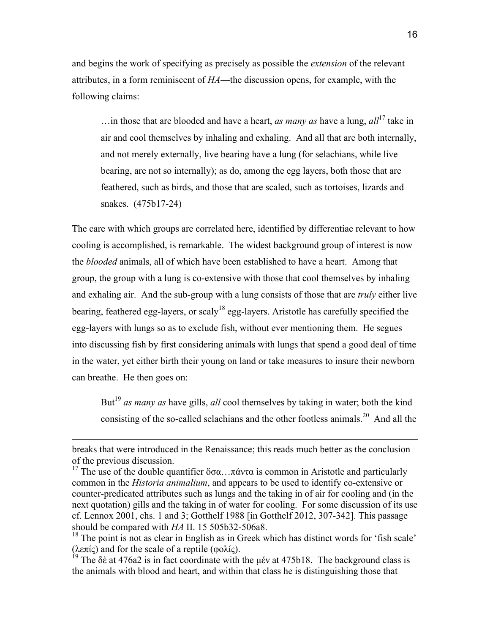and begins the work of specifying as precisely as possible the *extension* of the relevant attributes, in a form reminiscent of *HA*—the discussion opens, for example, with the following claims:

…in those that are blooded and have a heart, *as many as* have a lung, *all* <sup>17</sup> take in air and cool themselves by inhaling and exhaling. And all that are both internally, and not merely externally, live bearing have a lung (for selachians, while live bearing, are not so internally); as do, among the egg layers, both those that are feathered, such as birds, and those that are scaled, such as tortoises, lizards and snakes. (475b17-24)

The care with which groups are correlated here, identified by differentiae relevant to how cooling is accomplished, is remarkable. The widest background group of interest is now the *blooded* animals, all of which have been established to have a heart. Among that group, the group with a lung is co-extensive with those that cool themselves by inhaling and exhaling air. And the sub-group with a lung consists of those that are *truly* either live bearing, feathered egg-layers, or scaly<sup>18</sup> egg-layers. Aristotle has carefully specified the egg-layers with lungs so as to exclude fish, without ever mentioning them. He segues into discussing fish by first considering animals with lungs that spend a good deal of time in the water, yet either birth their young on land or take measures to insure their newborn can breathe. He then goes on:

But<sup>19</sup> as many as have gills, all cool themselves by taking in water; both the kind consisting of the so-called selachians and the other footless animals.<sup>20</sup> And all the

 $\overline{a}$ 

breaks that were introduced in the Renaissance; this reads much better as the conclusion of the previous discussion.

<sup>&</sup>lt;sup>17</sup> The use of the double quantifier ὄσα...πάντα is common in Aristotle and particularly common in the *Historia animalium*, and appears to be used to identify co-extensive or counter-predicated attributes such as lungs and the taking in of air for cooling and (in the next quotation) gills and the taking in of water for cooling. For some discussion of its use cf. Lennox 2001, chs. 1 and 3; Gotthelf 1988 [in Gotthelf 2012, 307-342]. This passage should be compared with *HA* II. 15 505b32-506a8.

<sup>&</sup>lt;sup>18</sup> The point is not as clear in English as in Greek which has distinct words for 'fish scale' (λεπίς) and for the scale of a reptile (φολίς).

<sup>&</sup>lt;sup>19</sup> The δε at 476a2 is in fact coordinate with the uέν at 475b18. The background class is the animals with blood and heart, and within that class he is distinguishing those that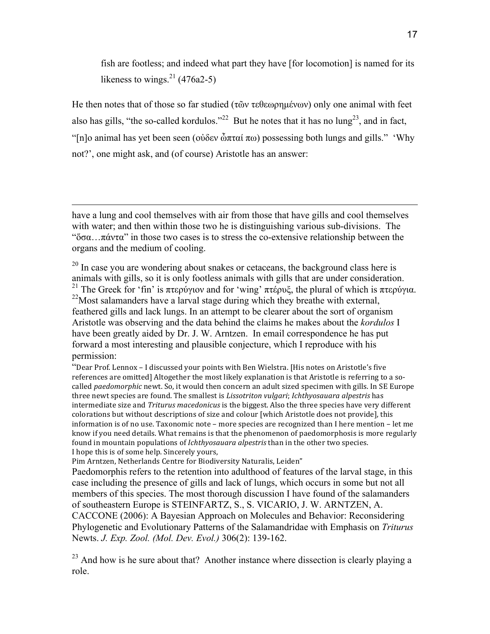fish are footless; and indeed what part they have [for locomotion] is named for its likeness to wings.<sup>21</sup> (476a2-5)

He then notes that of those so far studied (τῶν τεθεωρημένων) only one animal with feet also has gills, "the so-called kordulos."<sup>22</sup> But he notes that it has no lung<sup>23</sup>, and in fact, "[n]o animal has yet been seen (οὐδεν ὦπταί πω) possessing both lungs and gills." 'Why not?', one might ask, and (of course) Aristotle has an answer:

have a lung and cool themselves with air from those that have gills and cool themselves with water; and then within those two he is distinguishing various sub-divisions. The "ὅσα…πάντα" in those two cases is to stress the co-extensive relationship between the organs and the medium of cooling.

 $20$  In case you are wondering about snakes or cetaceans, the background class here is animals with gills, so it is only footless animals with gills that are under consideration. <sup>21</sup> The Greek for 'fin' is πτερύγιον and for 'wing' πτέρυξ, the plural of which is πτερύγια.<br><sup>22</sup>Most salamanders have a larval stage during which they breathe with external, feathered gills and lack lungs. In an attempt to be clearer about the sort of organism Aristotle was observing and the data behind the claims he makes about the *kordulos* I have been greatly aided by Dr. J. W. Arntzen. In email correspondence he has put forward a most interesting and plausible conjecture, which I reproduce with his permission:

"Dear Prof. Lennox - I discussed your points with Ben Wielstra. [His notes on Aristotle's five references are omitted] Altogether the most likely explanation is that Aristotle is referring to a socalled *paedomorphic* newt. So, it would then concern an adult sized specimen with gills. In SE Europe three newt species are found. The smallest is *Lissotriton vulgari; Ichthyosauara alpestris* has intermediate size and *Triturus macedonicus* is the biggest. Also the three species have very different colorations but without descriptions of size and colour [which Aristotle does not provide], this information is of no use. Taxonomic note – more species are recognized than I here mention – let me know if you need details. What remains is that the phenomenon of paedomorphosis is more regularly found in mountain populations of *Ichthyosauara alpestris* than in the other two species. I hope this is of some help. Sincerely yours,

 $\overline{a}$ 

Paedomorphis refers to the retention into adulthood of features of the larval stage, in this case including the presence of gills and lack of lungs, which occurs in some but not all members of this species. The most thorough discussion I have found of the salamanders of southeastern Europe is STEINFARTZ, S., S. VICARIO, J. W. ARNTZEN, A. CACCONE (2006): A Bayesian Approach on Molecules and Behavior: Reconsidering Phylogenetic and Evolutionary Patterns of the Salamandridae with Emphasis on *Triturus*  Newts. *J. Exp. Zool. (Mol. Dev. Evol.)* 306(2): 139-162.

 $^{23}$  And how is he sure about that? Another instance where dissection is clearly playing a role.

Pim Arntzen, Netherlands Centre for Biodiversity Naturalis, Leiden"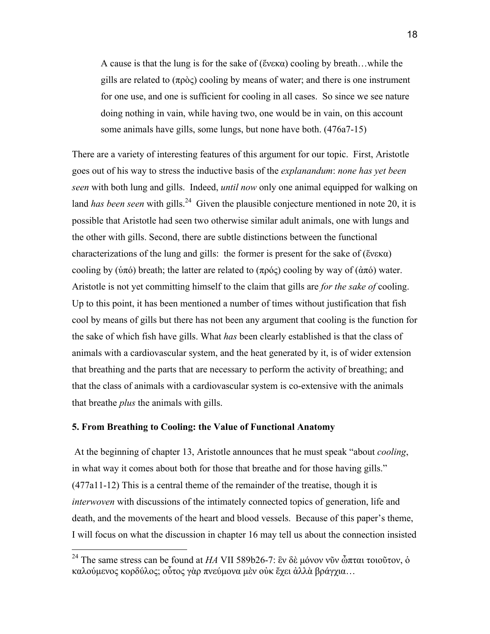A cause is that the lung is for the sake of (ἕνεκα) cooling by breath...while the gills are related to  $(\pi \rho \delta \varsigma)$  cooling by means of water; and there is one instrument for one use, and one is sufficient for cooling in all cases. So since we see nature doing nothing in vain, while having two, one would be in vain, on this account some animals have gills, some lungs, but none have both. (476a7-15)

There are a variety of interesting features of this argument for our topic. First, Aristotle goes out of his way to stress the inductive basis of the *explanandum*: *none has yet been seen* with both lung and gills. Indeed, *until now* only one animal equipped for walking on land *has been seen* with gills.<sup>24</sup> Given the plausible conjecture mentioned in note 20, it is possible that Aristotle had seen two otherwise similar adult animals, one with lungs and the other with gills. Second, there are subtle distinctions between the functional characterizations of the lung and gills: the former is present for the sake of (ἕνεκα) cooling by (ὑπό) breath; the latter are related to  $(πρός)$  cooling by way of  $(από)$  water. Aristotle is not yet committing himself to the claim that gills are *for the sake of* cooling. Up to this point, it has been mentioned a number of times without justification that fish cool by means of gills but there has not been any argument that cooling is the function for the sake of which fish have gills. What *has* been clearly established is that the class of animals with a cardiovascular system, and the heat generated by it, is of wider extension that breathing and the parts that are necessary to perform the activity of breathing; and that the class of animals with a cardiovascular system is co-extensive with the animals that breathe *plus* the animals with gills.

# **5. From Breathing to Cooling: the Value of Functional Anatomy**

At the beginning of chapter 13, Aristotle announces that he must speak "about *cooling*, in what way it comes about both for those that breathe and for those having gills." (477a11-12) This is a central theme of the remainder of the treatise, though it is *interwoven* with discussions of the intimately connected topics of generation, life and death, and the movements of the heart and blood vessels. Because of this paper's theme, I will focus on what the discussion in chapter 16 may tell us about the connection insisted

<sup>&</sup>lt;sup>24</sup> The same stress can be found at *HA* VII 589b26-7: ἓν δὲ μόνον νῦν ὦπται τοιοῦτον, ὁ καλούµενος κορδύλος; οὗτος γὰρ πνεύµονα µὲν οὐκ ἔχει ἀλλὰ βράγχια…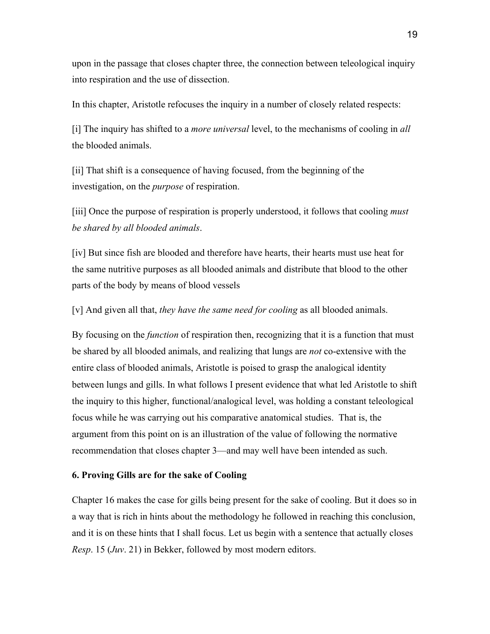upon in the passage that closes chapter three, the connection between teleological inquiry into respiration and the use of dissection.

In this chapter, Aristotle refocuses the inquiry in a number of closely related respects:

[i] The inquiry has shifted to a *more universal* level, to the mechanisms of cooling in *all* the blooded animals.

[ii] That shift is a consequence of having focused, from the beginning of the investigation, on the *purpose* of respiration.

[iii] Once the purpose of respiration is properly understood, it follows that cooling *must be shared by all blooded animals*.

[iv] But since fish are blooded and therefore have hearts, their hearts must use heat for the same nutritive purposes as all blooded animals and distribute that blood to the other parts of the body by means of blood vessels

[v] And given all that, *they have the same need for cooling* as all blooded animals.

By focusing on the *function* of respiration then, recognizing that it is a function that must be shared by all blooded animals, and realizing that lungs are *not* co-extensive with the entire class of blooded animals, Aristotle is poised to grasp the analogical identity between lungs and gills. In what follows I present evidence that what led Aristotle to shift the inquiry to this higher, functional/analogical level, was holding a constant teleological focus while he was carrying out his comparative anatomical studies. That is, the argument from this point on is an illustration of the value of following the normative recommendation that closes chapter 3—and may well have been intended as such.

# **6. Proving Gills are for the sake of Cooling**

Chapter 16 makes the case for gills being present for the sake of cooling. But it does so in a way that is rich in hints about the methodology he followed in reaching this conclusion, and it is on these hints that I shall focus. Let us begin with a sentence that actually closes *Resp*. 15 (*Juv*. 21) in Bekker, followed by most modern editors.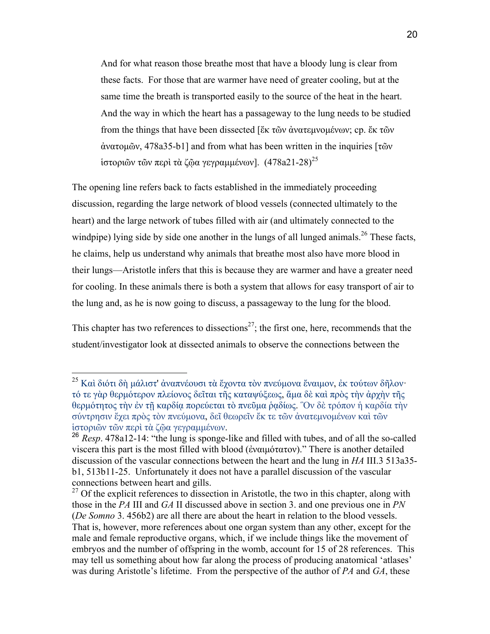And for what reason those breathe most that have a bloody lung is clear from these facts. For those that are warmer have need of greater cooling, but at the same time the breath is transported easily to the source of the heat in the heart. And the way in which the heart has a passageway to the lung needs to be studied from the things that have been dissected [ἔκ τῶν ἀνατεµνοµένων; cp. ἔκ τῶν ἀνατοµῶν, 478a35-b1] and from what has been written in the inquiries [τῶν iστοριῶν τῶν περὶ τὰ ζῶα γεγραμμένων].  $(478a21-28)^{25}$ 

The opening line refers back to facts established in the immediately proceeding discussion, regarding the large network of blood vessels (connected ultimately to the heart) and the large network of tubes filled with air (and ultimately connected to the windpipe) lying side by side one another in the lungs of all lunged animals.<sup>26</sup> These facts, he claims, help us understand why animals that breathe most also have more blood in their lungs—Aristotle infers that this is because they are warmer and have a greater need for cooling. In these animals there is both a system that allows for easy transport of air to the lung and, as he is now going to discuss, a passageway to the lung for the blood.

This chapter has two references to dissections<sup>27</sup>; the first one, here, recommends that the student/investigator look at dissected animals to observe the connections between the

<sup>&</sup>lt;sup>25</sup> Καὶ διότι δὴ μάλιστ' ἀναπνέουσι τὰ ἔχοντα τὸν πνεύμονα ἔναιμον, ἐκ τούτων δῆλον· τό τε γὰρ θερµότερον πλείονος δεῖται τῆς καταψύξεως, ἅµα δὲ καὶ πρὸς τὴν ἀρχὴν τῆς θερμότητος τὴν ἐν τῇ καρδία πορεύεται τὸ πνεῦμα ῥαδίως. Ὁν δὲ τρόπον ἡ καρδία τὴν σύντρησιν ἔχει πρὸς τὸν πνεύµονα, δεῖ θεωρεῖν ἔκ τε τῶν ἀνατεµνοµένων καὶ τῶν ἱστοριῶν τῶν περὶ τὰ ζῷα γεγραµµένων. <sup>26</sup> *Resp*. 478a12-14: "the lung is sponge-like and filled with tubes, and of all the so-called

viscera this part is the most filled with blood (ἐναιµότατον)." There is another detailed discussion of the vascular connections between the heart and the lung in *HA* III.3 513a35 b1, 513b11-25. Unfortunately it does not have a parallel discussion of the vascular connections between heart and gills.

 $27$  Of the explicit references to dissection in Aristotle, the two in this chapter, along with those in the *PA* III and *GA* II discussed above in section 3. and one previous one in *PN* (*De Somno* 3. 456b2) are all there are about the heart in relation to the blood vessels. That is, however, more references about one organ system than any other, except for the male and female reproductive organs, which, if we include things like the movement of embryos and the number of offspring in the womb, account for 15 of 28 references. This may tell us something about how far along the process of producing anatomical 'atlases' was during Aristotle's lifetime. From the perspective of the author of *PA* and *GA*, these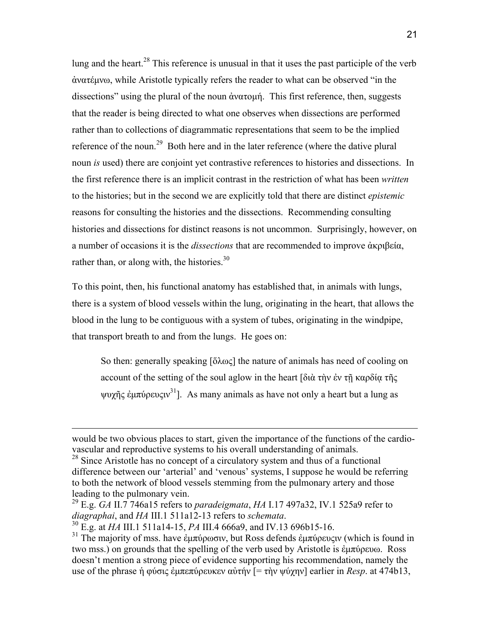lung and the heart.<sup>28</sup> This reference is unusual in that it uses the past participle of the verb ἀνατέµνω, while Aristotle typically refers the reader to what can be observed "in the dissections" using the plural of the noun ἀνατομή. This first reference, then, suggests that the reader is being directed to what one observes when dissections are performed rather than to collections of diagrammatic representations that seem to be the implied reference of the noun.<sup>29</sup> Both here and in the later reference (where the dative plural noun *is* used) there are conjoint yet contrastive references to histories and dissections. In the first reference there is an implicit contrast in the restriction of what has been *written* to the histories; but in the second we are explicitly told that there are distinct *epistemic* reasons for consulting the histories and the dissections. Recommending consulting histories and dissections for distinct reasons is not uncommon. Surprisingly, however, on a number of occasions it is the *dissections* that are recommended to improve ἀκριβεία, rather than, or along with, the histories.<sup>30</sup>

To this point, then, his functional anatomy has established that, in animals with lungs, there is a system of blood vessels within the lung, originating in the heart, that allows the blood in the lung to be contiguous with a system of tubes, originating in the windpipe, that transport breath to and from the lungs. He goes on:

So then: generally speaking [ὅλως] the nature of animals has need of cooling on account of the setting of the soul aglow in the heart [διὰ τὴν ἐν τῇ καρδίᾳ τῆς ψυχῆς ἐμπύρευςιν<sup>31</sup>]. As many animals as have not only a heart but a lung as

 $\overline{a}$ 

would be two obvious places to start, given the importance of the functions of the cardiovascular and reproductive systems to his overall understanding of animals.

<sup>&</sup>lt;sup>28</sup> Since Aristotle has no concept of a circulatory system and thus of a functional difference between our 'arterial' and 'venous' systems, I suppose he would be referring to both the network of blood vessels stemming from the pulmonary artery and those leading to the pulmonary vein.

<sup>29</sup> E.g. *GA* II.7 746a15 refers to *paradeigmata*, *HA* I.17 497a32, IV.1 525a9 refer to *diagraphai*, and *HA* III.1 511a12-13 refers to *schemata*. <sup>30</sup> E.g. at *HA* III.1 511a14-15, *PA* III.4 666a9, and IV.13 696b15-16.

<sup>&</sup>lt;sup>31</sup> The majority of mss. have ἐμπύρωσιν, but Ross defends ἐμπύρευςιν (which is found in two mss.) on grounds that the spelling of the verb used by Aristotle is ἐµπύρευω. Ross doesn't mention a strong piece of evidence supporting his recommendation, namely the use of the phrase ἡ φύσις ἐµπεπύρευκεν αὐτήν [= τὴν ψύχην] earlier in *Resp*. at 474b13,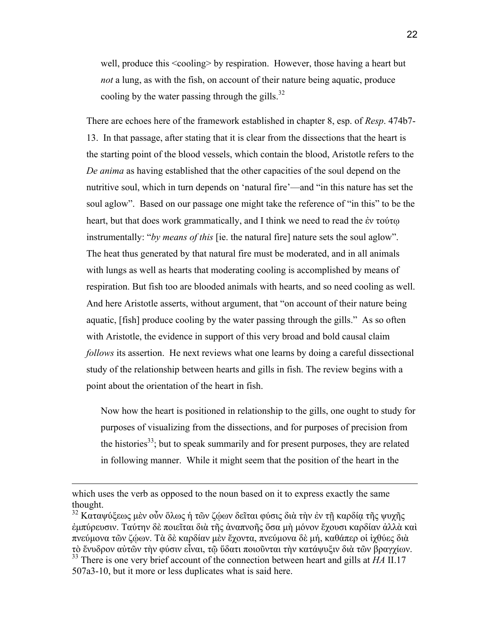well, produce this  $\le$ cooling by respiration. However, those having a heart but *not* a lung, as with the fish, on account of their nature being aquatic, produce cooling by the water passing through the gills. $32$ 

There are echoes here of the framework established in chapter 8, esp. of *Resp*. 474b7- 13. In that passage, after stating that it is clear from the dissections that the heart is the starting point of the blood vessels, which contain the blood, Aristotle refers to the *De anima* as having established that the other capacities of the soul depend on the nutritive soul, which in turn depends on 'natural fire'—and "in this nature has set the soul aglow". Based on our passage one might take the reference of "in this" to be the heart, but that does work grammatically, and I think we need to read the ἐν τούτῳ instrumentally: "*by means of this* [ie. the natural fire] nature sets the soul aglow". The heat thus generated by that natural fire must be moderated, and in all animals with lungs as well as hearts that moderating cooling is accomplished by means of respiration. But fish too are blooded animals with hearts, and so need cooling as well. And here Aristotle asserts, without argument, that "on account of their nature being aquatic, [fish] produce cooling by the water passing through the gills." As so often with Aristotle, the evidence in support of this very broad and bold causal claim *follows* its assertion. He next reviews what one learns by doing a careful dissectional study of the relationship between hearts and gills in fish. The review begins with a point about the orientation of the heart in fish.

Now how the heart is positioned in relationship to the gills, one ought to study for purposes of visualizing from the dissections, and for purposes of precision from the histories<sup>33</sup>; but to speak summarily and for present purposes, they are related in following manner. While it might seem that the position of the heart in the

 $\overline{a}$ 

which uses the verb as opposed to the noun based on it to express exactly the same thought.

<sup>&</sup>lt;sup>32</sup> Καταψύξεως μὲν οὖν ὅλως ἡ τῶν ζώων δεῖται φύσις διὰ τὴν ἐν τῇ καρδία τῆς ψυχῆς ἐµπύρευσιν. Ταύτην δὲ ποιεῖται διὰ τῆς ἀναπνοῆς ὅσα µὴ µόνον ἔχουσι καρδίαν ἀλλὰ καὶ πνεύµονα τῶν ζῴων. Τὰ δὲ καρδίαν µὲν ἔχοντα, πνεύµονα δὲ µή, καθάπερ οἱ ἰχθύες διὰ τὸ ἔνυδρον αὐτῶν τὴν φύσιν εἶναι, τῷ ὕδατι ποιοῦνται τὴν κατάψυξιν διὰ τῶν βραγχίων. <sup>33</sup> There is one very brief account of the connection between heart and gills at *HA* II.17

<sup>507</sup>a3-10, but it more or less duplicates what is said here.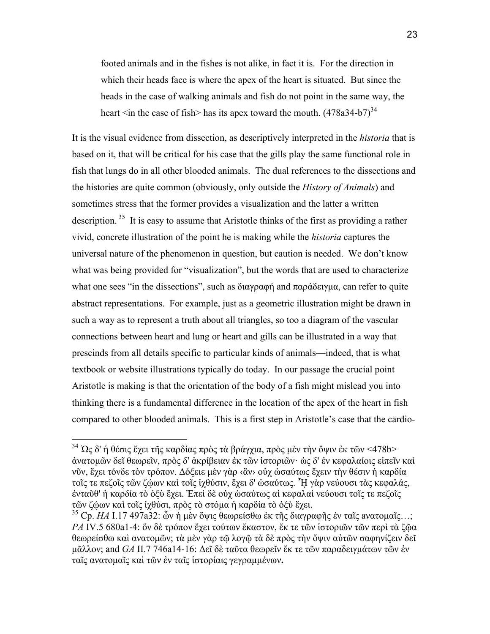footed animals and in the fishes is not alike, in fact it is. For the direction in which their heads face is where the apex of the heart is situated. But since the heads in the case of walking animals and fish do not point in the same way, the heart  $\leq$  in the case of fish has its apex toward the mouth. (478a34-b7)<sup>34</sup>

It is the visual evidence from dissection, as descriptively interpreted in the *historia* that is based on it, that will be critical for his case that the gills play the same functional role in fish that lungs do in all other blooded animals. The dual references to the dissections and the histories are quite common (obviously, only outside the *History of Animals*) and sometimes stress that the former provides a visualization and the latter a written description.<sup>35</sup> It is easy to assume that Aristotle thinks of the first as providing a rather vivid, concrete illustration of the point he is making while the *historia* captures the universal nature of the phenomenon in question, but caution is needed. We don't know what was being provided for "visualization", but the words that are used to characterize what one sees "in the dissections", such as διαγραφή and παράδειγμα, can refer to quite abstract representations. For example, just as a geometric illustration might be drawn in such a way as to represent a truth about all triangles, so too a diagram of the vascular connections between heart and lung or heart and gills can be illustrated in a way that prescinds from all details specific to particular kinds of animals—indeed, that is what textbook or website illustrations typically do today. In our passage the crucial point Aristotle is making is that the orientation of the body of a fish might mislead you into thinking there is a fundamental difference in the location of the apex of the heart in fish compared to other blooded animals. This is a first step in Aristotle's case that the cardio-

<sup>&</sup>lt;sup>34</sup> Ώς δ' ή θέσις έχει τῆς καρδίας πρὸς τὰ βράγχια, πρὸς μὲν τὴν ὄψιν ἐκ τῶν <478b> ἀνατοµῶν δεῖ θεωρεῖν, πρὸς δ' ἀκρίβειαν ἐκ τῶν ἱστοριῶν· ὡς δ' ἐν κεφαλαίοις εἰπεῖν καὶ νῦν, ἔχει τόνδε τὸν τρόπον. Δόξειε µὲν γὰρ ‹ἂν› οὐχ ὡσαύτως ἔχειν τὴν θέσιν ἡ καρδία τοῖς τε πεζοῖς τῶν ζῴων καὶ τοῖς ἰχθύσιν, ἔχει δ' ὡσαύτως. ᾟ γὰρ νεύουσι τὰς κεφαλάς, ἐνταῦθ' ἡ καρδία τὸ ὀξὺ ἔχει. Ἐπεὶ δὲ οὐχ ὡσαύτως αἱ κεφαλαὶ νεύουσι τοῖς τε πεζοῖς τῶν ζῷων καὶ τοῖς ἰχθύσι, πρὸς τὸ στόμα ἡ καρδία τὸ ὀξὺ ἔχει.<br><sup>35</sup> Cp. *HA* I.17 497a32: ὦν ἡ μὲν ὄψις θεωρείσθω ἐκ τῆς διαγραφῆς ἐν ταῖς aνατομαῖς…;

*PA* IV.5 680a1-4: ὅν δὲ τρόπον ἔχει τούτων ἔκαστον, ἔκ τε τῶν ἱστοριῶν τῶν περὶ τὰ ζῷα θεωρείσθω καὶ ανατοµῶν; τὰ µὲν γὰρ τῷ λογῷ τὰ δὲ πρὸς τὴν ὄψιν αὐτῶν σαφηνίζειν δεῖ µᾶλλον; and *GA* II.7 746a14-16: Δεῖ δὲ ταῦτα θεωρεῖν ἔκ τε τῶν παραδειγµάτων τῶν ἐν ταῖς ανατοµαῖς καὶ τῶν ἐν ταῖς ἱστορίαις γεγραµµένων**.**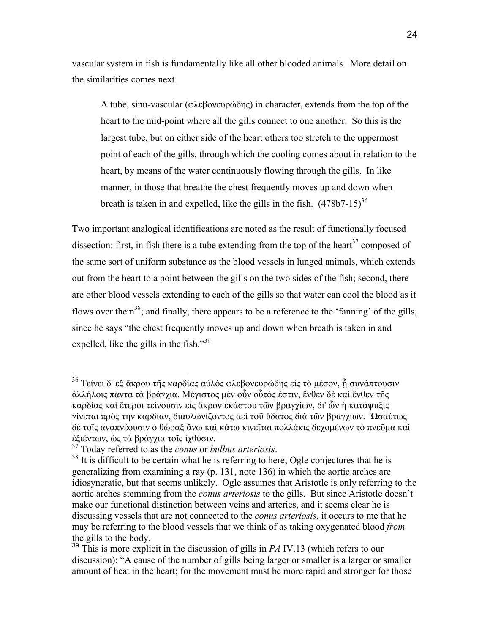vascular system in fish is fundamentally like all other blooded animals. More detail on the similarities comes next.

A tube, sinu-vascular (φλεβονευρώδης) in character, extends from the top of the heart to the mid-point where all the gills connect to one another. So this is the largest tube, but on either side of the heart others too stretch to the uppermost point of each of the gills, through which the cooling comes about in relation to the heart, by means of the water continuously flowing through the gills. In like manner, in those that breathe the chest frequently moves up and down when breath is taken in and expelled, like the gills in the fish.  $(478b7-15)^{36}$ 

Two important analogical identifications are noted as the result of functionally focused dissection: first, in fish there is a tube extending from the top of the heart<sup>37</sup> composed of the same sort of uniform substance as the blood vessels in lunged animals, which extends out from the heart to a point between the gills on the two sides of the fish; second, there are other blood vessels extending to each of the gills so that water can cool the blood as it flows over them<sup>38</sup>; and finally, there appears to be a reference to the 'fanning' of the gills, since he says "the chest frequently moves up and down when breath is taken in and expelled, like the gills in the fish."<sup>39</sup>

<sup>&</sup>lt;sup>36</sup> Τείνει δ' ἐξ ἄκρου τῆς καρδίας αὐλὸς φλεβονευρώδης εἰς τὸ μέσον, ἦ συνάπτουσιν ἀλλήλοις πάντα τὰ βράγχια. Μέγιστος µὲν οὖν οὗτός ἐστιν, ἔνθεν δὲ καὶ ἔνθεν τῆς καρδίας καὶ ἕτεροι τείνουσιν εἰς ἄκρον ἑκάστου τῶν βραγχίων, δι' ὧν ἡ κατάψυξις γίνεται πρὸς τὴν καρδίαν, διαυλωνίζοντος ἀεὶ τοῦ ὕδατος διὰ τῶν βραγχίων. Ὡσαύτως δὲ τοῖς ἀναπνέουσιν ὁ θώραξ ἄνω καὶ κάτω κινεῖται πολλάκις δεχοµένων τὸ πνεῦµα καὶ ἐξιέντων, ὡς τὰ βράγχια τοῖς ἰχθύσιν. <sup>37</sup> Today referred to as the *conus* or *bulbus arteriosis*. <sup>38</sup> It is difficult to be certain what he is referring to here; Ogle conjectures that he is

generalizing from examining a ray (p. 131, note 136) in which the aortic arches are idiosyncratic, but that seems unlikely. Ogle assumes that Aristotle is only referring to the aortic arches stemming from the *conus arteriosis* to the gills. But since Aristotle doesn't make our functional distinction between veins and arteries, and it seems clear he is discussing vessels that are not connected to the *conus arteriosis*, it occurs to me that he may be referring to the blood vessels that we think of as taking oxygenated blood *from* the gills to the body.

<sup>39</sup> This is more explicit in the discussion of gills in *PA* IV.13 (which refers to our discussion): "A cause of the number of gills being larger or smaller is a larger or smaller amount of heat in the heart; for the movement must be more rapid and stronger for those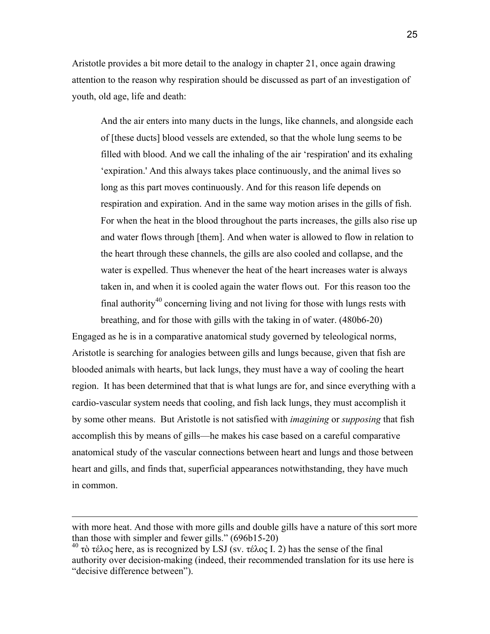Aristotle provides a bit more detail to the analogy in chapter 21, once again drawing attention to the reason why respiration should be discussed as part of an investigation of youth, old age, life and death:

And the air enters into many ducts in the lungs, like channels, and alongside each of [these ducts] blood vessels are extended, so that the whole lung seems to be filled with blood. And we call the inhaling of the air 'respiration' and its exhaling 'expiration.' And this always takes place continuously, and the animal lives so long as this part moves continuously. And for this reason life depends on respiration and expiration. And in the same way motion arises in the gills of fish. For when the heat in the blood throughout the parts increases, the gills also rise up and water flows through [them]. And when water is allowed to flow in relation to the heart through these channels, the gills are also cooled and collapse, and the water is expelled. Thus whenever the heat of the heart increases water is always taken in, and when it is cooled again the water flows out. For this reason too the final authority<sup>40</sup> concerning living and not living for those with lungs rests with breathing, and for those with gills with the taking in of water. (480b6-20)

Engaged as he is in a comparative anatomical study governed by teleological norms, Aristotle is searching for analogies between gills and lungs because, given that fish are blooded animals with hearts, but lack lungs, they must have a way of cooling the heart region. It has been determined that that is what lungs are for, and since everything with a cardio-vascular system needs that cooling, and fish lack lungs, they must accomplish it by some other means. But Aristotle is not satisfied with *imagining* or *supposing* that fish accomplish this by means of gills—he makes his case based on a careful comparative anatomical study of the vascular connections between heart and lungs and those between heart and gills, and finds that, superficial appearances notwithstanding, they have much in common.

 $\overline{a}$ 

with more heat. And those with more gills and double gills have a nature of this sort more than those with simpler and fewer gills." (696b15-20)

<sup>&</sup>lt;sup>40</sup> τὸ τέλος here, as is recognized by LSJ (sv. τέλος I. 2) has the sense of the final authority over decision-making (indeed, their recommended translation for its use here is "decisive difference between").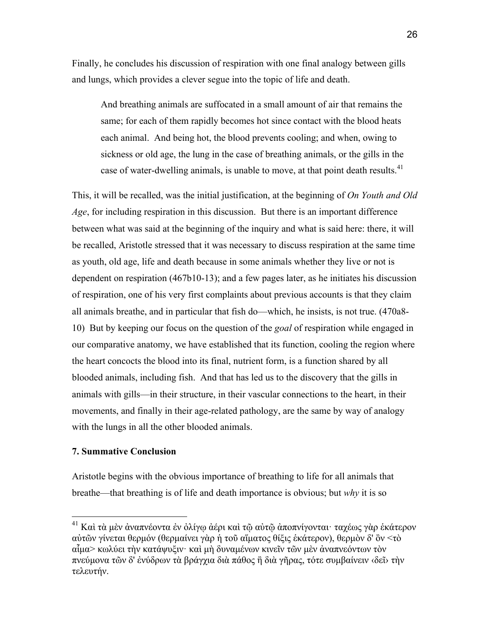Finally, he concludes his discussion of respiration with one final analogy between gills and lungs, which provides a clever segue into the topic of life and death.

And breathing animals are suffocated in a small amount of air that remains the same; for each of them rapidly becomes hot since contact with the blood heats each animal. And being hot, the blood prevents cooling; and when, owing to sickness or old age, the lung in the case of breathing animals, or the gills in the case of water-dwelling animals, is unable to move, at that point death results. $41$ 

This, it will be recalled, was the initial justification, at the beginning of *On Youth and Old Age*, for including respiration in this discussion. But there is an important difference between what was said at the beginning of the inquiry and what is said here: there, it will be recalled, Aristotle stressed that it was necessary to discuss respiration at the same time as youth, old age, life and death because in some animals whether they live or not is dependent on respiration (467b10-13); and a few pages later, as he initiates his discussion of respiration, one of his very first complaints about previous accounts is that they claim all animals breathe, and in particular that fish do—which, he insists, is not true. (470a8- 10) But by keeping our focus on the question of the *goal* of respiration while engaged in our comparative anatomy, we have established that its function, cooling the region where the heart concocts the blood into its final, nutrient form, is a function shared by all blooded animals, including fish. And that has led us to the discovery that the gills in animals with gills—in their structure, in their vascular connections to the heart, in their movements, and finally in their age-related pathology, are the same by way of analogy with the lungs in all the other blooded animals.

## **7. Summative Conclusion**

Aristotle begins with the obvious importance of breathing to life for all animals that breathe—that breathing is of life and death importance is obvious; but *why* it is so

<sup>&</sup>lt;sup>41</sup> Καὶ τὰ μὲν ἀναπνέοντα ἐν ὀλίγω ἀέρι καὶ τῷ αὐτῷ ἀποπνίγονται· ταχέως γὰρ ἑκάτερον αὐτῶν γίνεται θερµόν (θερµαίνει γὰρ ἡ τοῦ αἵµατος θίξις ἑκάτερον), θερµὸν δ' ὂν <τὸ αἷµα> κωλύει τὴν κατάψυξιν· καὶ µὴ δυναµένων κινεῖν τῶν µὲν ἀναπνεόντων τὸν πνεύµονα τῶν δ' ἐνύδρων τὰ βράγχια διὰ πάθος ἢ διὰ γῆρας, τότε συµβαίνειν ‹δεῖ› τὴν τελευτήν.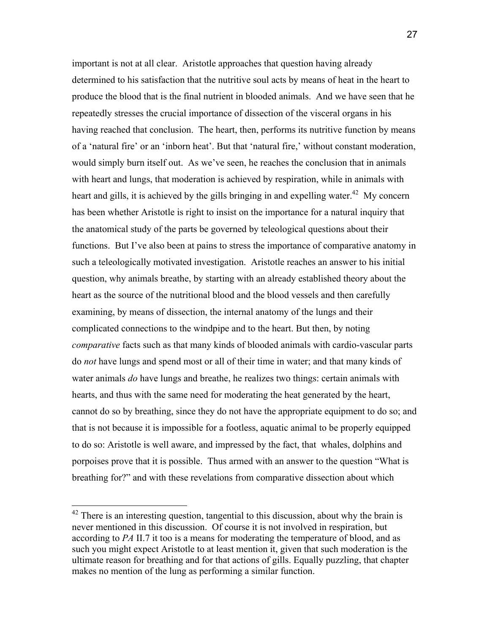important is not at all clear. Aristotle approaches that question having already determined to his satisfaction that the nutritive soul acts by means of heat in the heart to produce the blood that is the final nutrient in blooded animals. And we have seen that he repeatedly stresses the crucial importance of dissection of the visceral organs in his having reached that conclusion. The heart, then, performs its nutritive function by means of a 'natural fire' or an 'inborn heat'. But that 'natural fire,' without constant moderation, would simply burn itself out. As we've seen, he reaches the conclusion that in animals with heart and lungs, that moderation is achieved by respiration, while in animals with heart and gills, it is achieved by the gills bringing in and expelling water.<sup>42</sup> My concern has been whether Aristotle is right to insist on the importance for a natural inquiry that the anatomical study of the parts be governed by teleological questions about their functions. But I've also been at pains to stress the importance of comparative anatomy in such a teleologically motivated investigation. Aristotle reaches an answer to his initial question, why animals breathe, by starting with an already established theory about the heart as the source of the nutritional blood and the blood vessels and then carefully examining, by means of dissection, the internal anatomy of the lungs and their complicated connections to the windpipe and to the heart. But then, by noting *comparative* facts such as that many kinds of blooded animals with cardio-vascular parts do *not* have lungs and spend most or all of their time in water; and that many kinds of water animals *do* have lungs and breathe, he realizes two things: certain animals with hearts, and thus with the same need for moderating the heat generated by the heart, cannot do so by breathing, since they do not have the appropriate equipment to do so; and that is not because it is impossible for a footless, aquatic animal to be properly equipped to do so: Aristotle is well aware, and impressed by the fact, that whales, dolphins and porpoises prove that it is possible. Thus armed with an answer to the question "What is breathing for?" and with these revelations from comparative dissection about which

 $42$  There is an interesting question, tangential to this discussion, about why the brain is never mentioned in this discussion. Of course it is not involved in respiration, but according to *PA* II.7 it too is a means for moderating the temperature of blood, and as such you might expect Aristotle to at least mention it, given that such moderation is the ultimate reason for breathing and for that actions of gills. Equally puzzling, that chapter makes no mention of the lung as performing a similar function.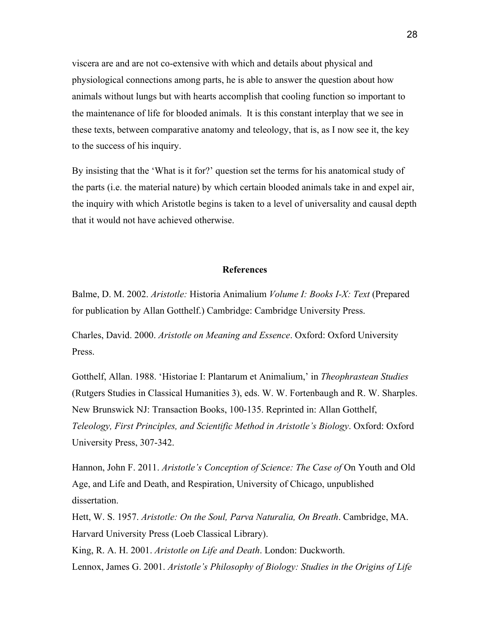viscera are and are not co-extensive with which and details about physical and physiological connections among parts, he is able to answer the question about how animals without lungs but with hearts accomplish that cooling function so important to the maintenance of life for blooded animals. It is this constant interplay that we see in these texts, between comparative anatomy and teleology, that is, as I now see it, the key to the success of his inquiry.

By insisting that the 'What is it for?' question set the terms for his anatomical study of the parts (i.e. the material nature) by which certain blooded animals take in and expel air, the inquiry with which Aristotle begins is taken to a level of universality and causal depth that it would not have achieved otherwise.

# **References**

Balme, D. M. 2002. *Aristotle:* Historia Animalium *Volume I: Books I-X: Text* (Prepared for publication by Allan Gotthelf.) Cambridge: Cambridge University Press.

Charles, David. 2000. *Aristotle on Meaning and Essence*. Oxford: Oxford University Press.

Gotthelf, Allan. 1988. 'Historiae I: Plantarum et Animalium,' in *Theophrastean Studies* (Rutgers Studies in Classical Humanities 3), eds. W. W. Fortenbaugh and R. W. Sharples. New Brunswick NJ: Transaction Books, 100-135. Reprinted in: Allan Gotthelf, *Teleology, First Principles, and Scientific Method in Aristotle's Biology*. Oxford: Oxford University Press, 307-342.

Hannon, John F. 2011. *Aristotle's Conception of Science: The Case of* On Youth and Old Age, and Life and Death, and Respiration, University of Chicago, unpublished dissertation.

Hett, W. S. 1957. *Aristotle: On the Soul, Parva Naturalia, On Breath*. Cambridge, MA. Harvard University Press (Loeb Classical Library).

King, R. A. H. 2001. *Aristotle on Life and Death*. London: Duckworth. Lennox, James G. 2001. *Aristotle's Philosophy of Biology: Studies in the Origins of Life*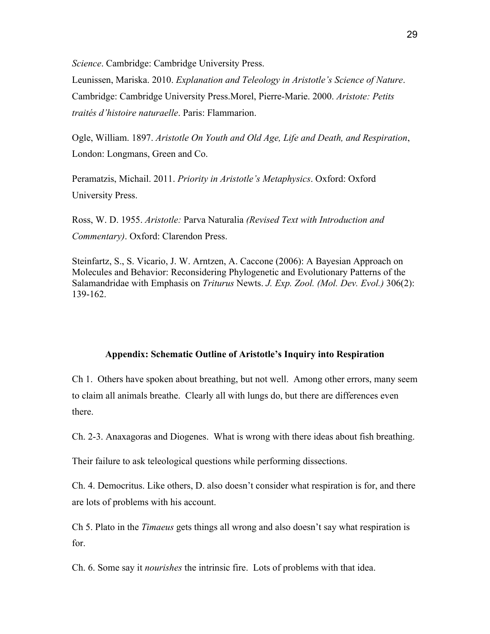*Science*. Cambridge: Cambridge University Press.

Leunissen, Mariska. 2010. *Explanation and Teleology in Aristotle's Science of Nature*. Cambridge: Cambridge University Press.Morel, Pierre-Marie. 2000. *Aristote: Petits traités d'histoire naturaelle*. Paris: Flammarion.

Ogle, William. 1897. *Aristotle On Youth and Old Age, Life and Death, and Respiration*, London: Longmans, Green and Co.

Peramatzis, Michail. 2011. *Priority in Aristotle's Metaphysics*. Oxford: Oxford University Press.

Ross, W. D. 1955. *Aristotle:* Parva Naturalia *(Revised Text with Introduction and Commentary)*. Oxford: Clarendon Press.

Steinfartz, S., S. Vicario, J. W. Arntzen, A. Caccone (2006): A Bayesian Approach on Molecules and Behavior: Reconsidering Phylogenetic and Evolutionary Patterns of the Salamandridae with Emphasis on *Triturus* Newts. *J. Exp. Zool. (Mol. Dev. Evol.)* 306(2): 139-162.

# **Appendix: Schematic Outline of Aristotle's Inquiry into Respiration**

Ch 1. Others have spoken about breathing, but not well. Among other errors, many seem to claim all animals breathe. Clearly all with lungs do, but there are differences even there.

Ch. 2-3. Anaxagoras and Diogenes. What is wrong with there ideas about fish breathing.

Their failure to ask teleological questions while performing dissections.

Ch. 4. Democritus. Like others, D. also doesn't consider what respiration is for, and there are lots of problems with his account.

Ch 5. Plato in the *Timaeus* gets things all wrong and also doesn't say what respiration is for.

Ch. 6. Some say it *nourishes* the intrinsic fire. Lots of problems with that idea.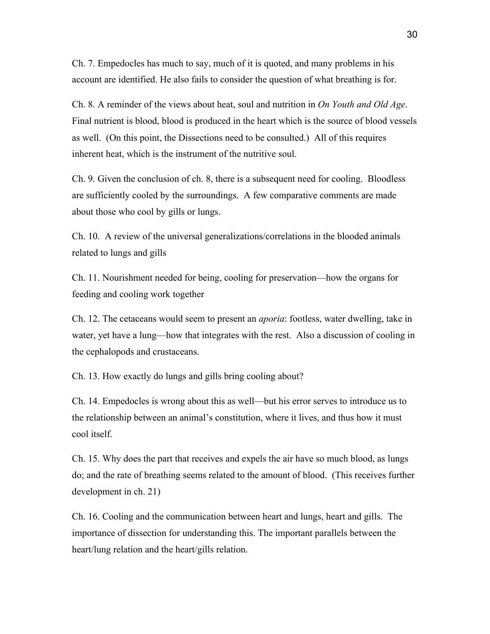Ch. 7. Empedocles has much to say, much of it is quoted, and many problems in his account are identified. He also fails to consider the question of what breathing is for.

Ch. 8. A reminder of the views about heat, soul and nutrition in *On Youth and Old Age*. Final nutrient is blood, blood is produced in the heart which is the source of blood vessels as well. (On this point, the Dissections need to be consulted.) All of this requires inherent heat, which is the instrument of the nutritive soul.

Ch. 9. Given the conclusion of ch. 8, there is a subsequent need for cooling. Bloodless are sufficiently cooled by the surroundings. A few comparative comments are made about those who cool by gills or lungs.

Ch. 10. A review of the universal generalizations/correlations in the blooded animals related to lungs and gills

Ch. 11. Nourishment needed for being, cooling for preservation—how the organs for feeding and cooling work together

Ch. 12. The cetaceans would seem to present an *aporia*: footless, water dwelling, take in water, yet have a lung—how that integrates with the rest. Also a discussion of cooling in the cephalopods and crustaceans.

Ch. 13. How exactly do lungs and gills bring cooling about?

Ch. 14. Empedocles is wrong about this as well—but his error serves to introduce us to the relationship between an animal's constitution, where it lives, and thus how it must cool itself.

Ch. 15. Why does the part that receives and expels the air have so much blood, as lungs do; and the rate of breathing seems related to the amount of blood. (This receives further development in ch. 21)

Ch. 16. Cooling and the communication between heart and lungs, heart and gills. The importance of dissection for understanding this. The important parallels between the heart/lung relation and the heart/gills relation.